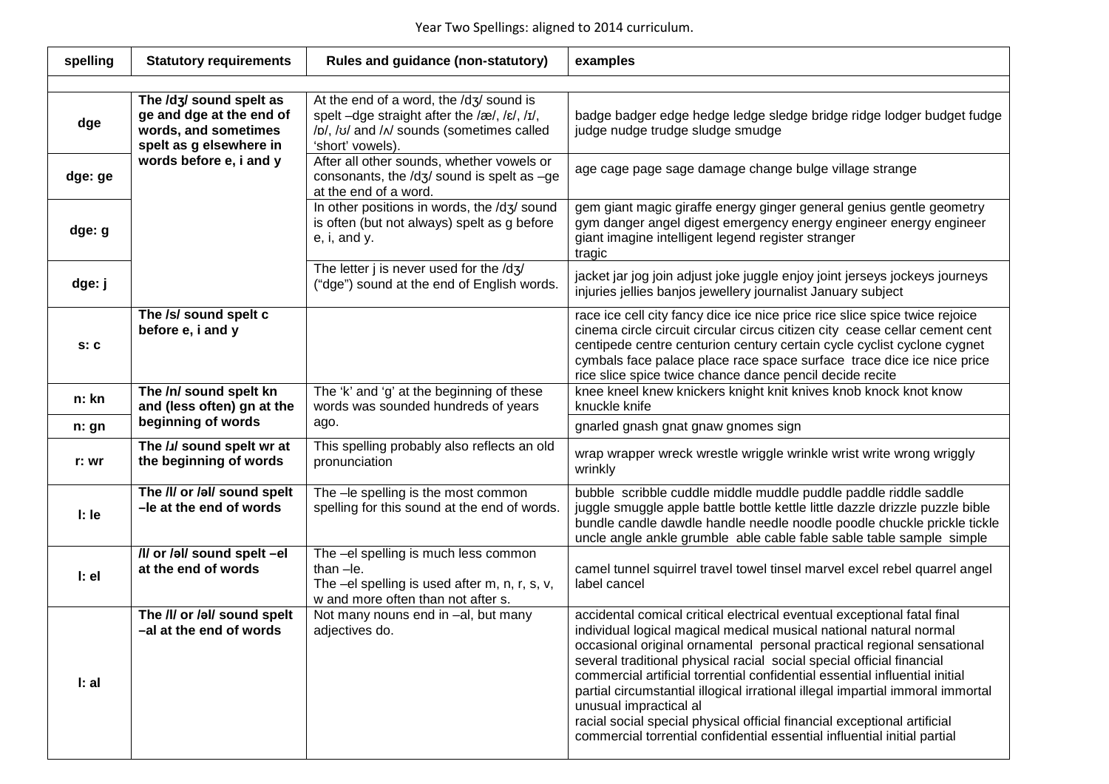## Year Two Spellings: aligned to 2014 curriculum.

| spelling | <b>Statutory requirements</b>                                                                                                     | Rules and guidance (non-statutory)                                                                                                                       | examples                                                                                                                                                                                                                                                                                                                                                                                                                                                                                                                                                                                                                                            |  |  |  |
|----------|-----------------------------------------------------------------------------------------------------------------------------------|----------------------------------------------------------------------------------------------------------------------------------------------------------|-----------------------------------------------------------------------------------------------------------------------------------------------------------------------------------------------------------------------------------------------------------------------------------------------------------------------------------------------------------------------------------------------------------------------------------------------------------------------------------------------------------------------------------------------------------------------------------------------------------------------------------------------------|--|--|--|
|          |                                                                                                                                   |                                                                                                                                                          |                                                                                                                                                                                                                                                                                                                                                                                                                                                                                                                                                                                                                                                     |  |  |  |
| dge      | The /dʒ/ sound spelt as<br>ge and dge at the end of<br>words, and sometimes<br>spelt as g elsewhere in<br>words before e, i and y | At the end of a word, the /dʒ/ sound is<br>spelt -dge straight after the /æ/, /ɛ/, /ɪ/,<br>/b/, /v/ and / / sounds (sometimes called<br>'short' vowels). | badge badger edge hedge ledge sledge bridge ridge lodger budget fudge<br>judge nudge trudge sludge smudge                                                                                                                                                                                                                                                                                                                                                                                                                                                                                                                                           |  |  |  |
| dge: ge  |                                                                                                                                   | After all other sounds, whether vowels or<br>consonants, the $/dz$ sound is spelt as $-g$ e<br>at the end of a word.                                     | age cage page sage damage change bulge village strange                                                                                                                                                                                                                                                                                                                                                                                                                                                                                                                                                                                              |  |  |  |
| dge: g   |                                                                                                                                   | In other positions in words, the /dʒ/ sound<br>is often (but not always) spelt as g before<br>$e$ , i, and $y$ .                                         | gem giant magic giraffe energy ginger general genius gentle geometry<br>gym danger angel digest emergency energy engineer energy engineer<br>giant imagine intelligent legend register stranger<br>tragic                                                                                                                                                                                                                                                                                                                                                                                                                                           |  |  |  |
| dge: j   |                                                                                                                                   | The letter j is never used for the $/dz/$<br>("dge") sound at the end of English words.                                                                  | jacket jar jog join adjust joke juggle enjoy joint jerseys jockeys journeys<br>injuries jellies banjos jewellery journalist January subject                                                                                                                                                                                                                                                                                                                                                                                                                                                                                                         |  |  |  |
| s: c     | The /s/ sound spelt c<br>before e, i and y                                                                                        |                                                                                                                                                          | race ice cell city fancy dice ice nice price rice slice spice twice rejoice<br>cinema circle circuit circular circus citizen city cease cellar cement cent<br>centipede centre centurion century certain cycle cyclist cyclone cygnet<br>cymbals face palace place race space surface trace dice ice nice price<br>rice slice spice twice chance dance pencil decide recite                                                                                                                                                                                                                                                                         |  |  |  |
| n: kn    | The /n/ sound spelt kn<br>and (less often) gn at the                                                                              | The 'k' and 'g' at the beginning of these<br>words was sounded hundreds of years                                                                         | knee kneel knew knickers knight knit knives knob knock knot know<br>knuckle knife                                                                                                                                                                                                                                                                                                                                                                                                                                                                                                                                                                   |  |  |  |
| n: gn    | beginning of words                                                                                                                | ago.                                                                                                                                                     | gnarled gnash gnat gnaw gnomes sign                                                                                                                                                                                                                                                                                                                                                                                                                                                                                                                                                                                                                 |  |  |  |
| r: wr    | The /J/ sound spelt wr at<br>the beginning of words                                                                               | This spelling probably also reflects an old<br>pronunciation                                                                                             | wrap wrapper wreck wrestle wriggle wrinkle wrist write wrong wriggly<br>wrinkly                                                                                                                                                                                                                                                                                                                                                                                                                                                                                                                                                                     |  |  |  |
| $l:$ le  | The /l/ or /al/ sound spelt<br>-le at the end of words                                                                            | The -le spelling is the most common<br>spelling for this sound at the end of words.                                                                      | bubble scribble cuddle middle muddle puddle paddle riddle saddle<br>juggle smuggle apple battle bottle kettle little dazzle drizzle puzzle bible<br>bundle candle dawdle handle needle noodle poodle chuckle prickle tickle<br>uncle angle ankle grumble able cable fable sable table sample simple                                                                                                                                                                                                                                                                                                                                                 |  |  |  |
| l:el     | /I/ or /əl/ sound spelt -el<br>at the end of words                                                                                | The -el spelling is much less common<br>than $-le.$<br>The $-eI$ spelling is used after m, n, r, s, v,<br>w and more often than not after s.             | camel tunnel squirrel travel towel tinsel marvel excel rebel quarrel angel<br>label cancel                                                                                                                                                                                                                                                                                                                                                                                                                                                                                                                                                          |  |  |  |
| l: al    | The /l/ or /al/ sound spelt<br>-al at the end of words                                                                            | Not many nouns end in -al, but many<br>adjectives do.                                                                                                    | accidental comical critical electrical eventual exceptional fatal final<br>individual logical magical medical musical national natural normal<br>occasional original ornamental personal practical regional sensational<br>several traditional physical racial social special official financial<br>commercial artificial torrential confidential essential influential initial<br>partial circumstantial illogical irrational illegal impartial immoral immortal<br>unusual impractical al<br>racial social special physical official financial exceptional artificial<br>commercial torrential confidential essential influential initial partial |  |  |  |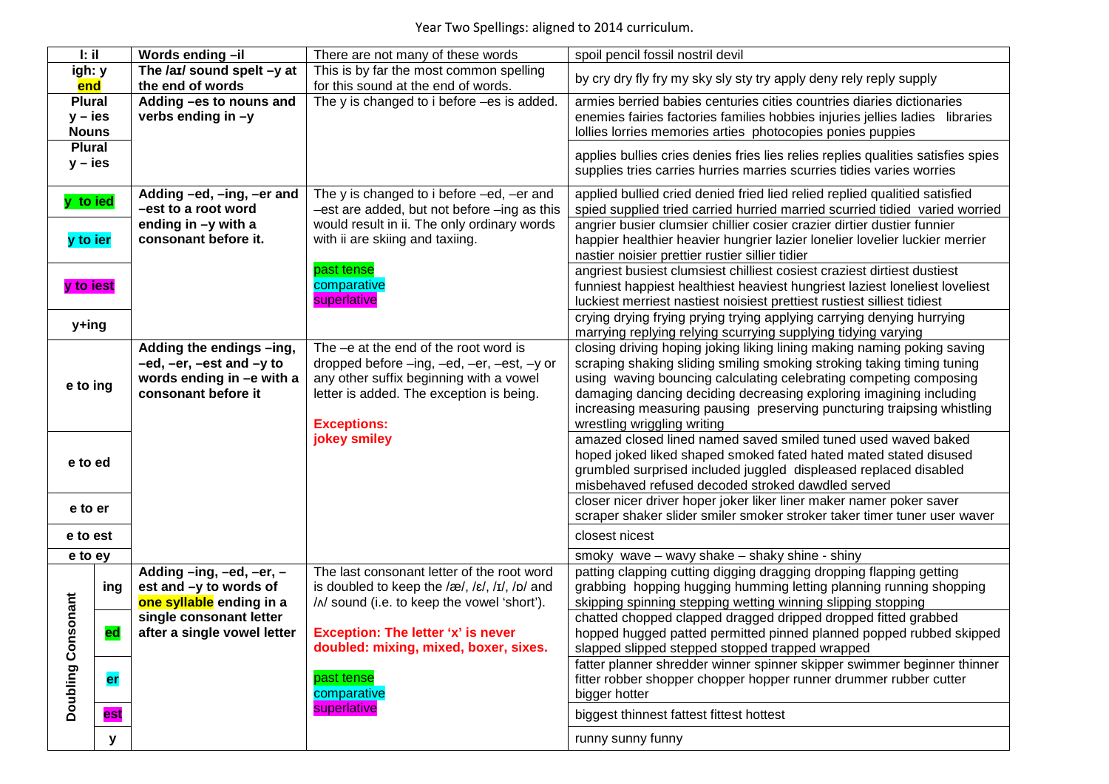| l: il                         |           | Words ending-il                                                                                          | There are not many of these words                                                                                                                                                                | spoil pencil fossil nostril devil                                                                                                                                                                                                                                                                                                                                                                     |
|-------------------------------|-----------|----------------------------------------------------------------------------------------------------------|--------------------------------------------------------------------------------------------------------------------------------------------------------------------------------------------------|-------------------------------------------------------------------------------------------------------------------------------------------------------------------------------------------------------------------------------------------------------------------------------------------------------------------------------------------------------------------------------------------------------|
| igh: y                        |           | The $/ax/$ sound spelt $-y$ at                                                                           | This is by far the most common spelling                                                                                                                                                          | by cry dry fly fry my sky sly sty try apply deny rely reply supply                                                                                                                                                                                                                                                                                                                                    |
| end                           |           | the end of words                                                                                         | for this sound at the end of words.                                                                                                                                                              |                                                                                                                                                                                                                                                                                                                                                                                                       |
| <b>Plural</b>                 |           | Adding -es to nouns and                                                                                  | The y is changed to i before -es is added.                                                                                                                                                       | armies berried babies centuries cities countries diaries dictionaries                                                                                                                                                                                                                                                                                                                                 |
| $y - i$ es                    |           | verbs ending in -y                                                                                       |                                                                                                                                                                                                  | enemies fairies factories families hobbies injuries jellies ladies libraries                                                                                                                                                                                                                                                                                                                          |
| <b>Nouns</b><br><b>Plural</b> |           |                                                                                                          |                                                                                                                                                                                                  | Iollies lorries memories arties photocopies ponies puppies                                                                                                                                                                                                                                                                                                                                            |
| $y - i$ es                    |           |                                                                                                          |                                                                                                                                                                                                  | applies bullies cries denies fries lies relies replies qualities satisfies spies                                                                                                                                                                                                                                                                                                                      |
|                               |           |                                                                                                          |                                                                                                                                                                                                  | supplies tries carries hurries marries scurries tidies varies worries                                                                                                                                                                                                                                                                                                                                 |
| y to ied                      |           | Adding -ed, -ing, -er and<br>-est to a root word<br>ending in -y with a                                  | The y is changed to i before -ed, -er and<br>-est are added, but not before -ing as this<br>would result in ii. The only ordinary words                                                          | applied bullied cried denied fried lied relied replied qualitied satisfied<br>spied supplied tried carried hurried married scurried tidied varied worried<br>angrier busier clumsier chillier cosier crazier dirtier dustier funnier                                                                                                                                                                  |
| y to ier                      |           | consonant before it.                                                                                     | with ii are skiing and taxiing.                                                                                                                                                                  | happier healthier heavier hungrier lazier lonelier lovelier luckier merrier<br>nastier noisier prettier rustier sillier tidier                                                                                                                                                                                                                                                                        |
| y to iest                     |           |                                                                                                          | past tense<br>comparative<br>superlative                                                                                                                                                         | angriest busiest clumsiest chilliest cosiest craziest dirtiest dustiest<br>funniest happiest healthiest heaviest hungriest laziest loneliest loveliest<br>luckiest merriest nastiest noisiest prettiest rustiest silliest tidiest                                                                                                                                                                     |
| y+ing                         |           |                                                                                                          |                                                                                                                                                                                                  | crying drying frying prying trying applying carrying denying hurrying<br>marrying replying relying scurrying supplying tidying varying                                                                                                                                                                                                                                                                |
| e to ing                      |           | Adding the endings -ing,<br>-ed, -er, -est and -y to<br>words ending in -e with a<br>consonant before it | The -e at the end of the root word is<br>dropped before -ing, -ed, -er, -est, -y or<br>any other suffix beginning with a vowel<br>letter is added. The exception is being.<br><b>Exceptions:</b> | closing driving hoping joking liking lining making naming poking saving<br>scraping shaking sliding smiling smoking stroking taking timing tuning<br>using waving bouncing calculating celebrating competing composing<br>damaging dancing deciding decreasing exploring imagining including<br>increasing measuring pausing preserving puncturing traipsing whistling<br>wrestling wriggling writing |
| e to ed                       |           |                                                                                                          | jokey smiley                                                                                                                                                                                     | amazed closed lined named saved smiled tuned used waved baked<br>hoped joked liked shaped smoked fated hated mated stated disused<br>grumbled surprised included juggled displeased replaced disabled<br>misbehaved refused decoded stroked dawdled served                                                                                                                                            |
| e to er                       |           |                                                                                                          |                                                                                                                                                                                                  | closer nicer driver hoper joker liker liner maker namer poker saver<br>scraper shaker slider smiler smoker stroker taker timer tuner user waver                                                                                                                                                                                                                                                       |
| e to est                      |           |                                                                                                          |                                                                                                                                                                                                  | closest nicest                                                                                                                                                                                                                                                                                                                                                                                        |
| e to ey                       |           |                                                                                                          |                                                                                                                                                                                                  | smoky wave - wavy shake - shaky shine - shiny                                                                                                                                                                                                                                                                                                                                                         |
| sonant                        | ing       | Adding -ing, -ed, -er, -<br>est and -y to words of<br>one syllable ending in a                           | The last consonant letter of the root word<br>is doubled to keep the /æ/, /ɛ/, /ɪ/, /p/ and<br>/ / sound (i.e. to keep the vowel 'short').                                                       | patting clapping cutting digging dragging dropping flapping getting<br>grabbing hopping hugging humming letting planning running shopping<br>skipping spinning stepping wetting winning slipping stopping                                                                                                                                                                                             |
| Con                           | ed        | single consonant letter<br>after a single vowel letter                                                   | <b>Exception: The letter 'x' is never</b><br>doubled: mixing, mixed, boxer, sixes.                                                                                                               | chatted chopped clapped dragged dripped dropped fitted grabbed<br>hopped hugged patted permitted pinned planned popped rubbed skipped<br>slapped slipped stepped stopped trapped wrapped                                                                                                                                                                                                              |
| <b>Doubling</b>               | <b>er</b> |                                                                                                          | past tense<br>comparative                                                                                                                                                                        | fatter planner shredder winner spinner skipper swimmer beginner thinner<br>fitter robber shopper chopper hopper runner drummer rubber cutter<br>bigger hotter                                                                                                                                                                                                                                         |
|                               | est       |                                                                                                          | superlative                                                                                                                                                                                      | biggest thinnest fattest fittest hottest                                                                                                                                                                                                                                                                                                                                                              |
|                               | ۷         |                                                                                                          |                                                                                                                                                                                                  | runny sunny funny                                                                                                                                                                                                                                                                                                                                                                                     |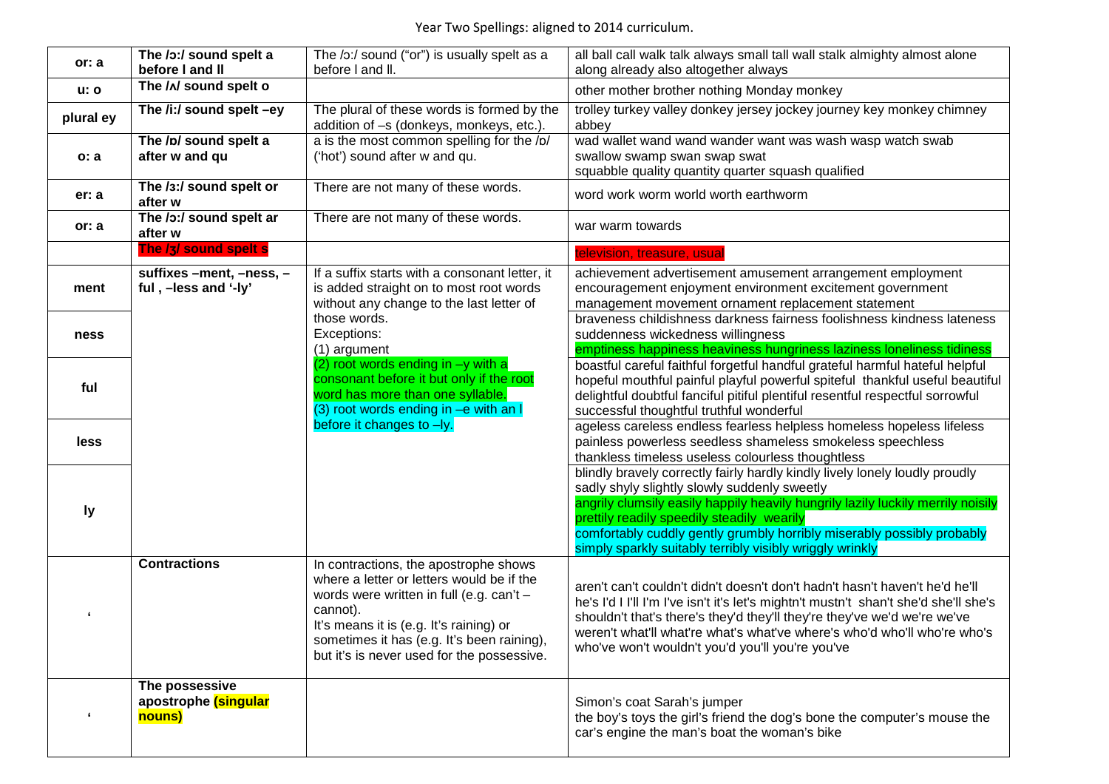| or: a            | The /o:/ sound spelt a<br>before I and II        | The /o:/ sound ("or") is usually spelt as a<br>before I and II.                                                                                                                                                                                                                   | all ball call walk talk always small tall wall stalk almighty almost alone<br>along already also altogether always                                                                                                                                                                                                                                                                                 |
|------------------|--------------------------------------------------|-----------------------------------------------------------------------------------------------------------------------------------------------------------------------------------------------------------------------------------------------------------------------------------|----------------------------------------------------------------------------------------------------------------------------------------------------------------------------------------------------------------------------------------------------------------------------------------------------------------------------------------------------------------------------------------------------|
| <b>u: o</b>      | The / N sound spelt o                            |                                                                                                                                                                                                                                                                                   | other mother brother nothing Monday monkey                                                                                                                                                                                                                                                                                                                                                         |
| plural ey        | The /i:/ sound spelt -ey                         | The plural of these words is formed by the<br>addition of -s (donkeys, monkeys, etc.).                                                                                                                                                                                            | trolley turkey valley donkey jersey jockey journey key monkey chimney<br>abbey                                                                                                                                                                                                                                                                                                                     |
| o: a             | The /p/ sound spelt a<br>after w and qu          | a is the most common spelling for the /p/<br>('hot') sound after w and qu.                                                                                                                                                                                                        | wad wallet wand wand wander want was wash wasp watch swab<br>swallow swamp swan swap swat<br>squabble quality quantity quarter squash qualified                                                                                                                                                                                                                                                    |
| er: a            | The /3:/ sound spelt or<br>after w               | There are not many of these words.                                                                                                                                                                                                                                                | word work worm world worth earthworm                                                                                                                                                                                                                                                                                                                                                               |
| or: a            | The /o:/ sound spelt ar<br>after w               | There are not many of these words.                                                                                                                                                                                                                                                | war warm towards                                                                                                                                                                                                                                                                                                                                                                                   |
|                  | The /3/ sound spelt s                            |                                                                                                                                                                                                                                                                                   | television, treasure, usual                                                                                                                                                                                                                                                                                                                                                                        |
| ment             | suffixes -ment, -ness, -<br>ful, -less and '-ly' | If a suffix starts with a consonant letter, it<br>is added straight on to most root words<br>without any change to the last letter of                                                                                                                                             | achievement advertisement amusement arrangement employment<br>encouragement enjoyment environment excitement government<br>management movement ornament replacement statement                                                                                                                                                                                                                      |
| ness             |                                                  | those words.<br>Exceptions:<br>(1) argument                                                                                                                                                                                                                                       | braveness childishness darkness fairness foolishness kindness lateness<br>suddenness wickedness willingness<br>emptiness happiness heaviness hungriness laziness loneliness tidiness                                                                                                                                                                                                               |
| ful              |                                                  | (2) root words ending in -y with a<br>consonant before it but only if the root<br>word has more than one syllable.<br>(3) root words ending in -e with an I                                                                                                                       | boastful careful faithful forgetful handful grateful harmful hateful helpful<br>hopeful mouthful painful playful powerful spiteful thankful useful beautiful<br>delightful doubtful fanciful pitiful plentiful resentful respectful sorrowful<br>successful thoughtful truthful wonderful                                                                                                          |
| less             |                                                  | before it changes to -ly.                                                                                                                                                                                                                                                         | ageless careless endless fearless helpless homeless hopeless lifeless<br>painless powerless seedless shameless smokeless speechless<br>thankless timeless useless colourless thoughtless                                                                                                                                                                                                           |
| ly               |                                                  |                                                                                                                                                                                                                                                                                   | blindly bravely correctly fairly hardly kindly lively lonely loudly proudly<br>sadly shyly slightly slowly suddenly sweetly<br>angrily clumsily easily happily heavily hungrily lazily luckily merrily noisily<br>prettily readily speedily steadily wearily<br>comfortably cuddly gently grumbly horribly miserably possibly probably<br>simply sparkly suitably terribly visibly wriggly wrinkly |
|                  | <b>Contractions</b>                              | In contractions, the apostrophe shows<br>where a letter or letters would be if the<br>words were written in full (e.g. can't -<br>cannot).<br>It's means it is (e.g. It's raining) or<br>sometimes it has (e.g. It's been raining),<br>but it's is never used for the possessive. | aren't can't couldn't didn't doesn't don't hadn't hasn't haven't he'd he'll<br>he's I'd I I'll I'm I've isn't it's let's mightn't mustn't shan't she'd she'll she's<br>shouldn't that's there's they'd they'll they're they've we'd we're we've<br>weren't what'll what're what's what've where's who'd who'll who're who's<br>who've won't wouldn't you'd you'll you're you've                    |
| $\pmb{\epsilon}$ | The possessive<br>apostrophe (singular<br>nouns) |                                                                                                                                                                                                                                                                                   | Simon's coat Sarah's jumper<br>the boy's toys the girl's friend the dog's bone the computer's mouse the<br>car's engine the man's boat the woman's bike                                                                                                                                                                                                                                            |